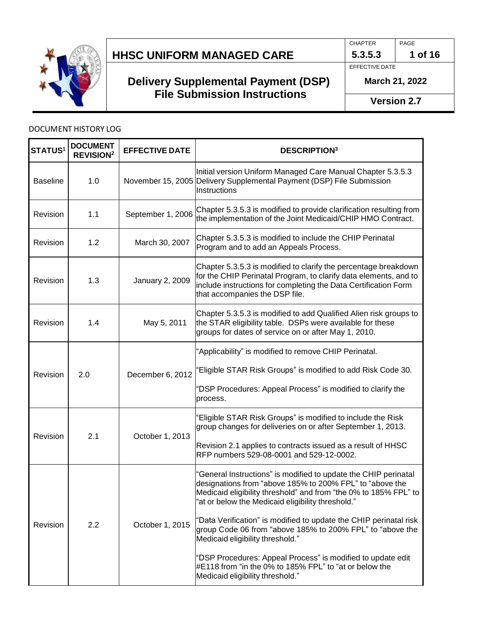

## **Delivery Supplemental Payment (DSP) File Submission Instructions**

CHAPTER PAGE

**5.3.5.3 1 of 16**

EFFECTIVE DATE

**March 21, 2022**

**Version 2.7**

### DOCUMENT HISTORY LOG

| <b>STATUS<sup>1</sup></b> | <b>DOCUMENT</b><br><b>REVISION<sup>2</sup></b> | <b>EFFECTIVE DATE</b> | <b>DESCRIPTION3</b>                                                                                                                                                                                                                                                                                                                                                                                                                                                                       |
|---------------------------|------------------------------------------------|-----------------------|-------------------------------------------------------------------------------------------------------------------------------------------------------------------------------------------------------------------------------------------------------------------------------------------------------------------------------------------------------------------------------------------------------------------------------------------------------------------------------------------|
| <b>Baseline</b>           | 1.0                                            |                       | Initial version Uniform Managed Care Manual Chapter 5.3.5.3<br>November 15, 2005 Delivery Supplemental Payment (DSP) File Submission<br>Instructions                                                                                                                                                                                                                                                                                                                                      |
| Revision                  | 1.1                                            | September 1, 2006     | Chapter 5.3.5.3 is modified to provide clarification resulting from<br>the implementation of the Joint Medicaid/CHIP HMO Contract.                                                                                                                                                                                                                                                                                                                                                        |
| Revision                  | 1.2                                            | March 30, 2007        | Chapter 5.3.5.3 is modified to include the CHIP Perinatal<br>Program and to add an Appeals Process.                                                                                                                                                                                                                                                                                                                                                                                       |
| Revision                  | 1.3                                            | January 2, 2009       | Chapter 5.3.5.3 is modified to clarify the percentage breakdown<br>for the CHIP Perinatal Program, to clarify data elements, and to<br>include instructions for completing the Data Certification Form<br>that accompanies the DSP file.                                                                                                                                                                                                                                                  |
| Revision                  | 1.4                                            | May 5, 2011           | Chapter 5.3.5.3 is modified to add Qualified Alien risk groups to<br>the STAR eligibility table. DSPs were available for these<br>groups for dates of service on or after May 1, 2010.                                                                                                                                                                                                                                                                                                    |
| Revision                  | 2.0                                            | December 6, 2012      | 'Applicability" is modified to remove CHIP Perinatal.<br>'Eligible STAR Risk Groups" is modified to add Risk Code 30.<br>"DSP Procedures: Appeal Process" is modified to clarify the<br>process.                                                                                                                                                                                                                                                                                          |
| Revision                  | 2.1                                            | October 1, 2013       | 'Eligible STAR Risk Groups" is modified to include the Risk<br>group changes for deliveries on or after September 1, 2013.<br>Revision 2.1 applies to contracts issued as a result of HHSC<br>RFP numbers 529-08-0001 and 529-12-0002.                                                                                                                                                                                                                                                    |
| Revision                  | 2.2                                            | October 1, 2015       | "General Instructions" is modified to update the CHIP perinatal<br>designations from "above 185% to 200% FPL" to "above the<br>Medicaid eligibility threshold" and from "the 0% to 185% FPL" to<br>'at or below the Medicaid eligibility threshold."<br>"Data Verification" is modified to update the CHIP perinatal risk<br>group Code 06 from "above 185% to 200% FPL" to "above the<br>Medicaid eligibility threshold."<br>"DSP Procedures: Appeal Process" is modified to update edit |
|                           |                                                |                       | #E118 from "in the 0% to 185% FPL" to "at or below the<br>Medicaid eligibility threshold."                                                                                                                                                                                                                                                                                                                                                                                                |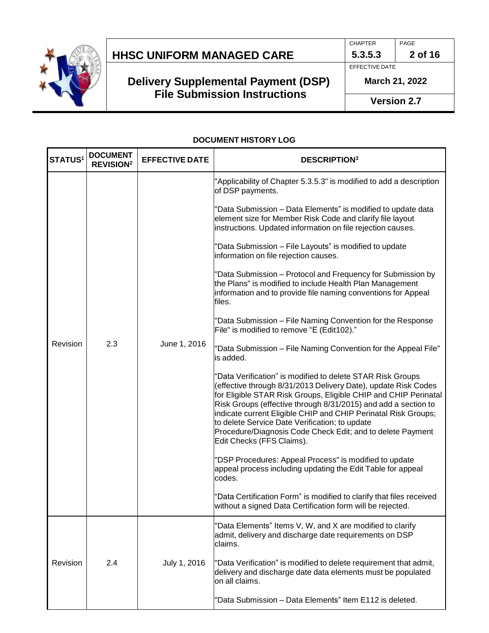

# **Delivery Supplemental Payment (DSP) File Submission Instructions**

CHAPTER PAGE

**5.3.5.3 2 of 16**

EFFECTIVE DATE

**March 21, 2022**

**Version 2.7**

#### **DOCUMENT HISTORY LOG**

| <b>STATUS1</b> | <b>DOCUMENT</b><br><b>REVISION<sup>2</sup></b> | <b>EFFECTIVE DATE</b> | <b>DESCRIPTION3</b>                                                                                                                                                                                                                                                                                                                                                                                                                                                              |
|----------------|------------------------------------------------|-----------------------|----------------------------------------------------------------------------------------------------------------------------------------------------------------------------------------------------------------------------------------------------------------------------------------------------------------------------------------------------------------------------------------------------------------------------------------------------------------------------------|
|                |                                                |                       | "Applicability of Chapter 5.3.5.3" is modified to add a description<br>of DSP payments.                                                                                                                                                                                                                                                                                                                                                                                          |
|                |                                                |                       | 'Data Submission - Data Elements" is modified to update data<br>element size for Member Risk Code and clarify file layout<br>instructions. Updated information on file rejection causes.                                                                                                                                                                                                                                                                                         |
| Revision       |                                                |                       | "Data Submission - File Layouts" is modified to update<br>information on file rejection causes.                                                                                                                                                                                                                                                                                                                                                                                  |
|                | 2.3                                            | June 1, 2016          | "Data Submission - Protocol and Frequency for Submission by<br>the Plans" is modified to include Health Plan Management<br>information and to provide file naming conventions for Appeal<br>files.                                                                                                                                                                                                                                                                               |
|                |                                                |                       | "Data Submission - File Naming Convention for the Response<br>File" is modified to remove "E (Edit102)."                                                                                                                                                                                                                                                                                                                                                                         |
|                |                                                |                       | "Data Submission - File Naming Convention for the Appeal File"<br>is added.                                                                                                                                                                                                                                                                                                                                                                                                      |
|                |                                                |                       | 'Data Verification" is modified to delete STAR Risk Groups<br>(effective through 8/31/2013 Delivery Date), update Risk Codes<br>for Eligible STAR Risk Groups, Eligible CHIP and CHIP Perinatal<br>Risk Groups (effective through 8/31/2015) and add a section to<br>indicate current Eligible CHIP and CHIP Perinatal Risk Groups;<br>to delete Service Date Verification; to update<br>Procedure/Diagnosis Code Check Edit; and to delete Payment<br>Edit Checks (FFS Claims). |
|                |                                                |                       | "DSP Procedures: Appeal Process" is modified to update<br>appeal process including updating the Edit Table for appeal<br>codes.                                                                                                                                                                                                                                                                                                                                                  |
|                |                                                |                       | "Data Certification Form" is modified to clarify that files received<br>without a signed Data Certification form will be rejected.                                                                                                                                                                                                                                                                                                                                               |
|                |                                                |                       | "Data Elements" Items V, W, and X are modified to clarify<br>admit, delivery and discharge date requirements on DSP<br>claims.                                                                                                                                                                                                                                                                                                                                                   |
| Revision       | 2.4                                            | July 1, 2016          | "Data Verification" is modified to delete requirement that admit,<br>delivery and discharge date data elements must be populated<br>on all claims.                                                                                                                                                                                                                                                                                                                               |
|                |                                                |                       | "Data Submission - Data Elements" Item E112 is deleted.                                                                                                                                                                                                                                                                                                                                                                                                                          |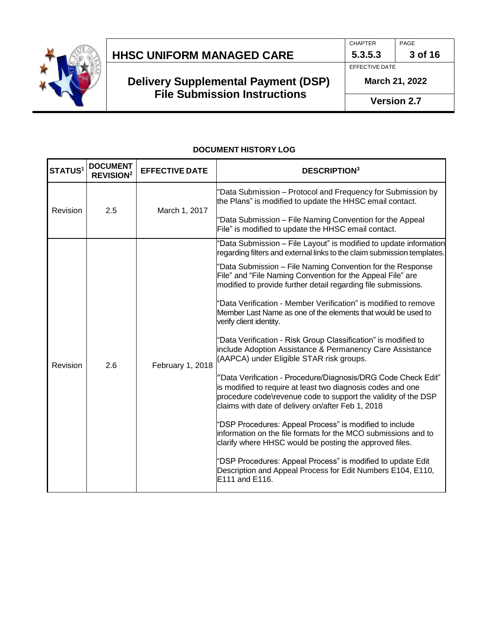

# **Delivery Supplemental Payment (DSP) File Submission Instructions**

CHAPTER PAGE

**5.3.5.3 3 of 16**

EFFECTIVE DATE

**March 21, 2022**

**Version 2.7**

### **DOCUMENT HISTORY LOG**

| <b>STATUS1</b> | <b>DOCUMENT</b><br><b>REVISION<sup>2</sup></b> | <b>EFFECTIVE DATE</b> | <b>DESCRIPTION3</b>                                                                                                                                                                                                                                 |
|----------------|------------------------------------------------|-----------------------|-----------------------------------------------------------------------------------------------------------------------------------------------------------------------------------------------------------------------------------------------------|
| Revision       | 2.5                                            | March 1, 2017         | "Data Submission - Protocol and Frequency for Submission by<br>the Plans" is modified to update the HHSC email contact.                                                                                                                             |
|                |                                                |                       | "Data Submission - File Naming Convention for the Appeal<br>File" is modified to update the HHSC email contact.                                                                                                                                     |
|                |                                                |                       | 'Data Submission - File Layout" is modified to update information<br>regarding filters and external links to the claim submission templates.                                                                                                        |
|                |                                                |                       | "Data Submission - File Naming Convention for the Response<br>File" and "File Naming Convention for the Appeal File" are<br>modified to provide further detail regarding file submissions.                                                          |
| Revision       | 2.6                                            | February 1, 2018      | 'Data Verification - Member Verification" is modified to remove<br>Member Last Name as one of the elements that would be used to<br>verify client identity.                                                                                         |
|                |                                                |                       | 'Data Verification - Risk Group Classification" is modified to<br>include Adoption Assistance & Permanency Care Assistance<br>(AAPCA) under Eligible STAR risk groups.                                                                              |
|                |                                                |                       | "Data Verification - Procedure/Diagnosis/DRG Code Check Edit"<br>is modified to require at least two diagnosis codes and one<br>procedure code\revenue code to support the validity of the DSP<br>claims with date of delivery on/after Feb 1, 2018 |
|                |                                                |                       | "DSP Procedures: Appeal Process" is modified to include<br>information on the file formats for the MCO submissions and to<br>clarify where HHSC would be posting the approved files.                                                                |
|                |                                                |                       | 'DSP Procedures: Appeal Process" is modified to update Edit<br>Description and Appeal Process for Edit Numbers E104, E110,<br>E111 and E116.                                                                                                        |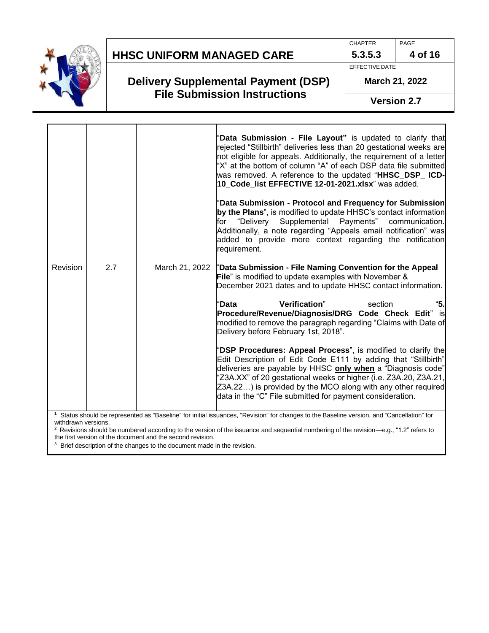

### **Delivery Supplemental Payment (DSP) File Submission Instructions**

CHAPTER PAGE **4 of 16**

**5.3.5.3** EFFECTIVE DATE

**March 21, 2022**

**Version 2.7**

|          |     |                | "Data Submission - File Layout" is updated to clarify that<br>rejected "Stillbirth" deliveries less than 20 gestational weeks are<br>not eligible for appeals. Additionally, the requirement of a letter<br>"X" at the bottom of column "A" of each DSP data file submitted<br>was removed. A reference to the updated "HHSC_DSP_ICD-<br>10_Code_list EFFECTIVE 12-01-2021.xlsx" was added.           |
|----------|-----|----------------|-------------------------------------------------------------------------------------------------------------------------------------------------------------------------------------------------------------------------------------------------------------------------------------------------------------------------------------------------------------------------------------------------------|
|          |     |                | "Data Submission - Protocol and Frequency for Submission<br>by the Plans", is modified to update HHSC's contact information<br>Supplemental Payments"<br>for "Delivery<br>communication.<br>Additionally, a note regarding "Appeals email notification" was<br>added to provide more context regarding the notification<br>requirement.                                                               |
| Revision | 2.7 | March 21, 2022 | "Data Submission - File Naming Convention for the Appeal<br><b>File</b> " is modified to update examples with November &<br>December 2021 dates and to update HHSC contact information.                                                                                                                                                                                                               |
|          |     |                | Verification"<br>"5.<br>"Data<br>section<br>Procedure/Revenue/Diagnosis/DRG Code Check Edit" is<br>modified to remove the paragraph regarding "Claims with Date of<br>Delivery before February 1st, 2018".                                                                                                                                                                                            |
|          |     |                | "DSP Procedures: Appeal Process", is modified to clarify the<br>Edit Description of Edit Code E111 by adding that "Stillbirth"<br>deliveries are payable by HHSC <b>only when</b> a "Diagnosis code"<br>"Z3A.XX" of 20 gestational weeks or higher (i.e. Z3A.20, Z3A.21,<br>Z3A.22) is provided by the MCO along with any other required<br>data in the "C" File submitted for payment consideration. |

**<sup>1</sup>**Status should be represented as "Baseline" for initial issuances, "Revision" for changes to the Baseline version, and "Cancellation" for withdrawn versions.

<sup>2</sup> Revisions should be numbered according to the version of the issuance and sequential numbering of the revision—e.g., "1.2" refers to the first version of the document and the second revision.

<sup>3</sup> Brief description of the changes to the document made in the revision.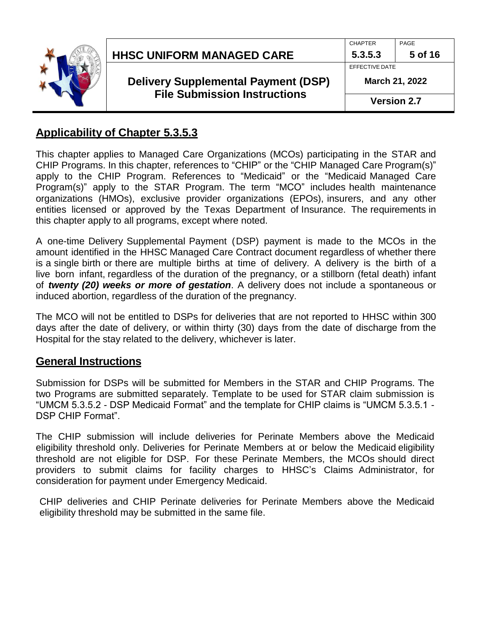| <b>HHSC UNIFORM MANAGED CARE</b>                                                  | <b>CHAPTER</b><br>5.3.5.3        | PAGE<br>5 of 16    |
|-----------------------------------------------------------------------------------|----------------------------------|--------------------|
| <b>Delivery Supplemental Payment (DSP)</b><br><b>File Submission Instructions</b> | EFFECTIVE DATE<br>March 21, 2022 |                    |
|                                                                                   |                                  | <b>Version 2.7</b> |

### **Applicability of Chapter 5.3.5.3**

This chapter applies to Managed Care Organizations (MCOs) participating in the STAR and CHIP Programs. In this chapter, references to "CHIP" or the "CHIP Managed Care Program(s)" apply to the CHIP Program. References to "Medicaid" or the "Medicaid Managed Care Program(s)" apply to the STAR Program. The term "MCO" includes health maintenance organizations (HMOs), exclusive provider organizations (EPOs), insurers, and any other entities licensed or approved by the Texas Department of Insurance. The requirements in this chapter apply to all programs, except where noted.

A one-time Delivery Supplemental Payment (DSP) payment is made to the MCOs in the amount identified in the HHSC Managed Care Contract document regardless of whether there is a single birth or there are multiple births at time of delivery. A delivery is the birth of a live born infant, regardless of the duration of the pregnancy, or a stillborn (fetal death) infant of *twenty (20) weeks or more of gestation*. A delivery does not include a spontaneous or induced abortion, regardless of the duration of the pregnancy.

The MCO will not be entitled to DSPs for deliveries that are not reported to HHSC within 300 days after the date of delivery, or within thirty (30) days from the date of discharge from the Hospital for the stay related to the delivery, whichever is later.

### **General Instructions**

Submission for DSPs will be submitted for Members in the STAR and CHIP Programs. The two Programs are submitted separately. Template to be used for STAR claim submission is "UMCM 5.3.5.2 - DSP Medicaid Format" and the template for CHIP claims is "UMCM 5.3.5.1 - DSP CHIP Format".

The CHIP submission will include deliveries for Perinate Members above the Medicaid eligibility threshold only. Deliveries for Perinate Members at or below the Medicaid eligibility threshold are not eligible for DSP. For these Perinate Members, the MCOs should direct providers to submit claims for facility charges to HHSC's Claims Administrator, for consideration for payment under Emergency Medicaid.

CHIP deliveries and CHIP Perinate deliveries for Perinate Members above the Medicaid eligibility threshold may be submitted in the same file.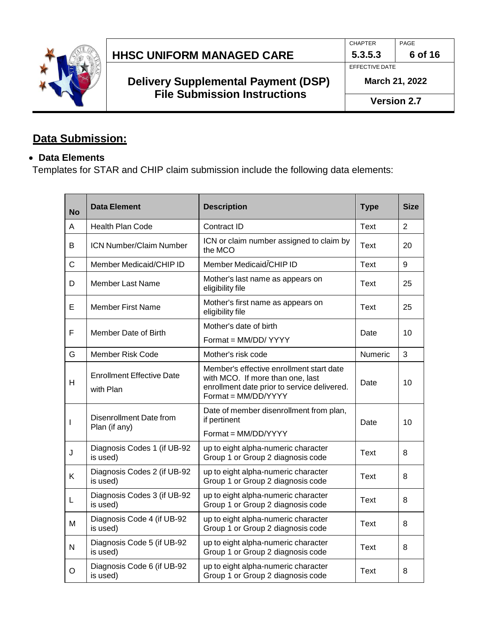

| <b>HHSC UNIFORM MANAGED CARE</b> |  |
|----------------------------------|--|
|                                  |  |

CHAPTER **5.3.5.3** PAGE **6 of 16**

EFFECTIVE DATE

**March 21, 2022**

**Version 2.7**

# **Data Submission:**

## • **Data Elements**

Templates for STAR and CHIP claim submission include the following data elements:

| <b>No</b>    | Data Element                                    | <b>Description</b>                                                                                                                                 | <b>Type</b> | <b>Size</b>    |
|--------------|-------------------------------------------------|----------------------------------------------------------------------------------------------------------------------------------------------------|-------------|----------------|
| A            | <b>Health Plan Code</b>                         | Contract ID                                                                                                                                        | <b>Text</b> | $\overline{2}$ |
| B            | <b>ICN Number/Claim Number</b>                  | ICN or claim number assigned to claim by<br>the MCO                                                                                                | Text        | 20             |
| $\mathsf{C}$ | Member Medicaid/CHIP ID                         | Member Medicaid/CHIP ID                                                                                                                            | Text        | 9              |
| D            | Member Last Name                                | Mother's last name as appears on<br>eligibility file                                                                                               | Text        | 25             |
| Е            | Member First Name                               | Mother's first name as appears on<br>eligibility file                                                                                              | Text        | 25             |
| F            | Member Date of Birth                            | Mother's date of birth                                                                                                                             | Date        | 10             |
|              |                                                 | Format = MM/DD/ YYYY                                                                                                                               |             |                |
| G            | <b>Member Risk Code</b>                         | Mother's risk code                                                                                                                                 | Numeric     | 3              |
| H            | <b>Enrollment Effective Date</b><br>with Plan   | Member's effective enrollment start date<br>with MCO. If more than one, last<br>enrollment date prior to service delivered.<br>Format = MM/DD/YYYY | Date        | 10             |
| I            | <b>Disenrollment Date from</b><br>Plan (if any) | Date of member disenrollment from plan,<br>if pertinent                                                                                            | Date        | 10             |
|              |                                                 | Format = MM/DD/YYYY                                                                                                                                |             |                |
| J            | Diagnosis Codes 1 (if UB-92<br>is used)         | up to eight alpha-numeric character<br>Group 1 or Group 2 diagnosis code                                                                           | <b>Text</b> | 8              |
| K            | Diagnosis Codes 2 (if UB-92<br>is used)         | up to eight alpha-numeric character<br>Group 1 or Group 2 diagnosis code                                                                           | Text        | 8              |
| L            | Diagnosis Codes 3 (if UB-92<br>is used)         | up to eight alpha-numeric character<br>Group 1 or Group 2 diagnosis code                                                                           | Text        | 8              |
| M            | Diagnosis Code 4 (if UB-92<br>is used)          | up to eight alpha-numeric character<br>Group 1 or Group 2 diagnosis code                                                                           | Text        | 8              |
| N            | Diagnosis Code 5 (if UB-92<br>is used)          | up to eight alpha-numeric character<br>Group 1 or Group 2 diagnosis code                                                                           | <b>Text</b> | 8              |
| O            | Diagnosis Code 6 (if UB-92<br>is used)          | up to eight alpha-numeric character<br>Group 1 or Group 2 diagnosis code                                                                           | Text        | 8              |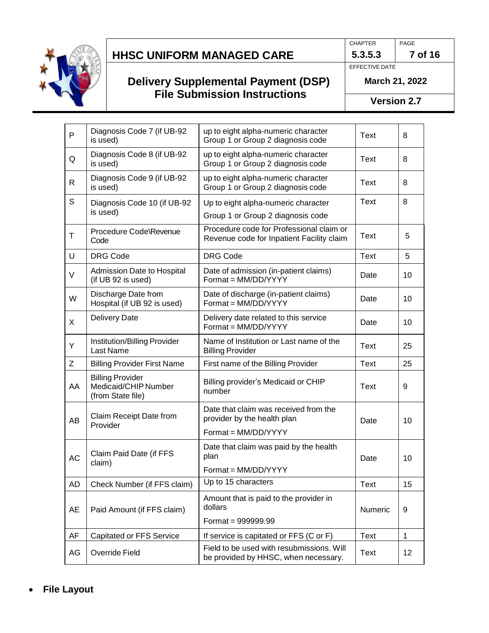

## **Delivery Supplemental Payment (DSP) File Submission Instructions**

**5.3.5.3 7 of 16**

PAGE

EFFECTIVE DATE

CHAPTER

**March 21, 2022**

**Version 2.7**

| P  | Diagnosis Code 7 (if UB-92<br>is used)                               | up to eight alpha-numeric character<br>Group 1 or Group 2 diagnosis code                    | Text    | 8            |
|----|----------------------------------------------------------------------|---------------------------------------------------------------------------------------------|---------|--------------|
| Q  | Diagnosis Code 8 (if UB-92<br>is used)                               | up to eight alpha-numeric character<br>Group 1 or Group 2 diagnosis code                    | Text    | 8            |
| R  | Diagnosis Code 9 (if UB-92<br>is used)                               | up to eight alpha-numeric character<br>Group 1 or Group 2 diagnosis code                    | Text    | 8            |
| S  | Diagnosis Code 10 (if UB-92<br>is used)                              | Up to eight alpha-numeric character<br>Group 1 or Group 2 diagnosis code                    | Text    | 8            |
| Τ  | Procedure Code\Revenue<br>Code                                       | Procedure code for Professional claim or<br>Revenue code for Inpatient Facility claim       | Text    | 5            |
| U  | <b>DRG Code</b>                                                      | <b>DRG Code</b>                                                                             | Text    | 5            |
| V  | Admission Date to Hospital<br>(if UB 92 is used)                     | Date of admission (in-patient claims)<br>Format = MM/DD/YYYY                                | Date    | 10           |
| W  | Discharge Date from<br>Hospital (if UB 92 is used)                   | Date of discharge (in-patient claims)<br>Format = MM/DD/YYYY                                | Date    | 10           |
| X  | <b>Delivery Date</b>                                                 | Delivery date related to this service<br>Format = MM/DD/YYYY                                | Date    | 10           |
| Υ  | Institution/Billing Provider<br>Last Name                            | Name of Institution or Last name of the<br><b>Billing Provider</b>                          | Text    | 25           |
| Ζ  | <b>Billing Provider First Name</b>                                   | First name of the Billing Provider                                                          | Text    | 25           |
| AA | <b>Billing Provider</b><br>Medicaid/CHIP Number<br>(from State file) | Billing provider's Medicaid or CHIP<br>number                                               | Text    | 9            |
| AB | Claim Receipt Date from<br>Provider                                  | Date that claim was received from the<br>provider by the health plan<br>Format = MM/DD/YYYY | Date    | 10           |
| AC | Claim Paid Date (if FFS<br>claim)                                    | Date that claim was paid by the health<br>plan<br>Format = MM/DD/YYYY                       | Date    | 10           |
| AD | Check Number (if FFS claim)                                          | Up to 15 characters                                                                         | Text    | 15           |
| AE | Paid Amount (if FFS claim)                                           | Amount that is paid to the provider in<br>dollars                                           | Numeric | 9            |
|    |                                                                      | Format = $999999.99$                                                                        |         |              |
| AF | <b>Capitated or FFS Service</b>                                      | If service is capitated or FFS (C or F)                                                     | Text    | $\mathbf{1}$ |
| AG | Override Field                                                       | Field to be used with resubmissions. Will<br>be provided by HHSC, when necessary.           | Text    | 12           |

• **File Layout**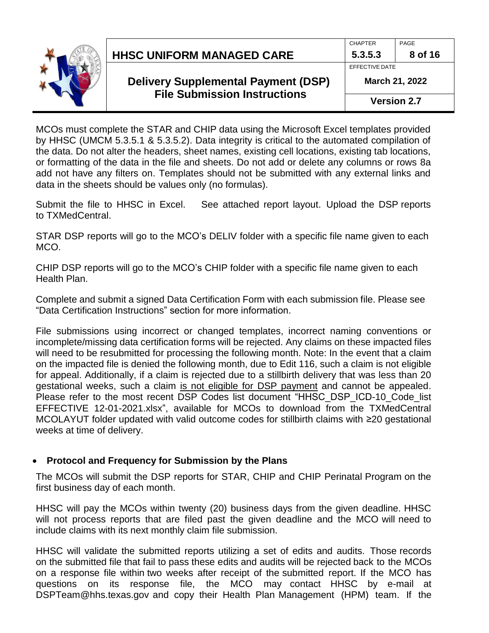

| <b>HHSC UNIFORM MANAGED CARE</b> |
|----------------------------------|
|----------------------------------|

CHAPTER

PAGE

**Version 2.7**

MCOs must complete the STAR and CHIP data using the Microsoft Excel templates provided by HHSC (UMCM 5.3.5.1 & 5.3.5.2). Data integrity is critical to the automated compilation of the data. Do not alter the headers, sheet names, existing cell locations, existing tab locations, or formatting of the data in the file and sheets. Do not add or delete any columns or rows 8a add not have any filters on. Templates should not be submitted with any external links and data in the sheets should be values only (no formulas).

Submit the file to HHSC in Excel. See attached report layout. Upload the DSP reports to TXMedCentral.

STAR DSP reports will go to the MCO's DELIV folder with a specific file name given to each MCO.

CHIP DSP reports will go to the MCO's CHIP folder with a specific file name given to each Health Plan.

Complete and submit a signed Data Certification Form with each submission file. Please see "Data Certification Instructions" section for more information.

File submissions using incorrect or changed templates, incorrect naming conventions or incomplete/missing data certification forms will be rejected. Any claims on these impacted files will need to be resubmitted for processing the following month. Note: In the event that a claim on the impacted file is denied the following month, due to Edit 116, such a claim is not eligible for appeal. Additionally, if a claim is rejected due to a stillbirth delivery that was less than 20 gestational weeks, such a claim is not eligible for DSP payment and cannot be appealed. Please refer to the most recent DSP Codes list document "HHSC\_DSP\_ICD-10\_Code\_list EFFECTIVE 12-01-2021.xlsx", available for MCOs to download from the TXMedCentral MCOLAYUT folder updated with valid outcome codes for stillbirth claims with ≥20 gestational weeks at time of delivery.

### • **Protocol and Frequency for Submission by the Plans**

The MCOs will submit the DSP reports for STAR, CHIP and CHIP Perinatal Program on the first business day of each month.

HHSC will pay the MCOs within twenty (20) business days from the given deadline. HHSC will not process reports that are filed past the given deadline and the MCO will need to include claims with its next monthly claim file submission.

HHSC will validate the submitted reports utilizing a set of edits and audits. Those records on the submitted file that fail to pass these edits and audits will be rejected back to the MCOs on a response file within two weeks after receipt of the submitted report. If the MCO has questions on its response file, the MCO may contact HHSC by e-mail at DSPTeam@hhs.texas.gov and copy their Health Plan Management (HPM) team. If the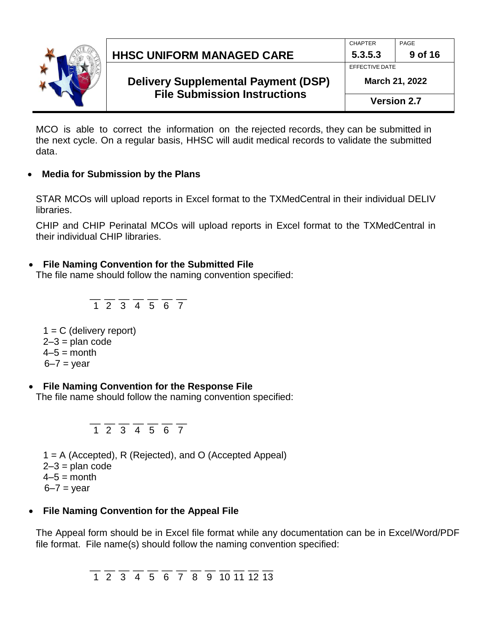

|                                                                                                            | <b>CHAPTER</b> | PAGE    |
|------------------------------------------------------------------------------------------------------------|----------------|---------|
| <b>HHSC UNIFORM MANAGED CARE</b>                                                                           | 5.3.5.3        | 9 of 16 |
|                                                                                                            | EFFECTIVE DATE |         |
| <b>Delivery Supplemental Payment (DSP)</b><br><b>March 21, 2022</b><br><b>File Submission Instructions</b> |                |         |
|                                                                                                            |                |         |

**Version 2.7**

MCO is able to correct the information on the rejected records, they can be submitted in the next cycle. On a regular basis, HHSC will audit medical records to validate the submitted data.

#### • **Media for Submission by the Plans**

STAR MCOs will upload reports in Excel format to the TXMedCentral in their individual DELIV libraries.

CHIP and CHIP Perinatal MCOs will upload reports in Excel format to the TXMedCentral in their individual CHIP libraries.

### • **File Naming Convention for the Submitted File**

The file name should follow the naming convention specified:

$$
\frac{}{1\ 2\ 3\ 4\ 5\ 6\ 7}
$$

 $1 = C$  (delivery report)  $2-3$  = plan code  $4-5 =$  month  $6-7$  = year

#### • **File Naming Convention for the Response File**

The file name should follow the naming convention specified:

$$
\frac{}{1\ 2\ 3\ 4\ 5\ 6\ 7}
$$

1 = A (Accepted), R (Rejected), and O (Accepted Appeal)  $2-3$  = plan code  $4-5 =$  month  $6-7$  = year

### • **File Naming Convention for the Appeal File**

The Appeal form should be in Excel file format while any documentation can be in Excel/Word/PDF file format. File name(s) should follow the naming convention specified:

> \_\_ \_\_ \_\_ \_\_ \_\_ \_\_ \_\_ \_\_ \_\_ \_\_ \_\_ \_\_ \_\_ 1 2 3 4 5 6 7 8 9 10 11 12 13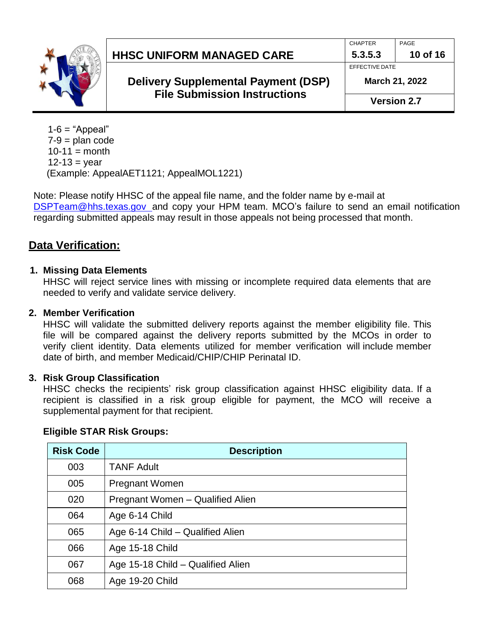| <b>HHSC UNIFORM MANAGED CARE</b>                                                  | <b>CHAPTER</b><br>5.3.5.3        | PAGE<br>10 of 16   |
|-----------------------------------------------------------------------------------|----------------------------------|--------------------|
| <b>Delivery Supplemental Payment (DSP)</b><br><b>File Submission Instructions</b> | EFFECTIVE DATE<br>March 21, 2022 |                    |
|                                                                                   |                                  | <b>Version 2.7</b> |

 $1-6$  = "Appeal"  $7-9$  = plan code  $10-11 =$  month  $12 - 13 = year$ (Example: AppealAET1121; AppealMOL1221)

Note: Please notify HHSC of the appeal file name, and the folder name by e-mail at [DSPTeam@hhs.texas.gov](mailto:DSPTeam@hhs.texas.gov) and copy your HPM team. MCO's failure to send an email notification regarding submitted appeals may result in those appeals not being processed that month.

### **Data Verification:**

### **1. Missing Data Elements**

HHSC will reject service lines with missing or incomplete required data elements that are needed to verify and validate service delivery.

#### **2. Member Verification**

HHSC will validate the submitted delivery reports against the member eligibility file. This file will be compared against the delivery reports submitted by the MCOs in order to verify client identity. Data elements utilized for member verification will include member date of birth, and member Medicaid/CHIP/CHIP Perinatal ID.

#### **3. Risk Group Classification**

HHSC checks the recipients' risk group classification against HHSC eligibility data. If a recipient is classified in a risk group eligible for payment, the MCO will receive a supplemental payment for that recipient.

| <b>Risk Code</b> | <b>Description</b>                |
|------------------|-----------------------------------|
| 003              | <b>TANF Adult</b>                 |
| 005              | <b>Pregnant Women</b>             |
| 020              | Pregnant Women - Qualified Alien  |
| 064              | Age 6-14 Child                    |
| 065              | Age 6-14 Child – Qualified Alien  |
| 066              | Age 15-18 Child                   |
| 067              | Age 15-18 Child - Qualified Alien |
| 068              | Age 19-20 Child                   |

### **Eligible STAR Risk Groups:**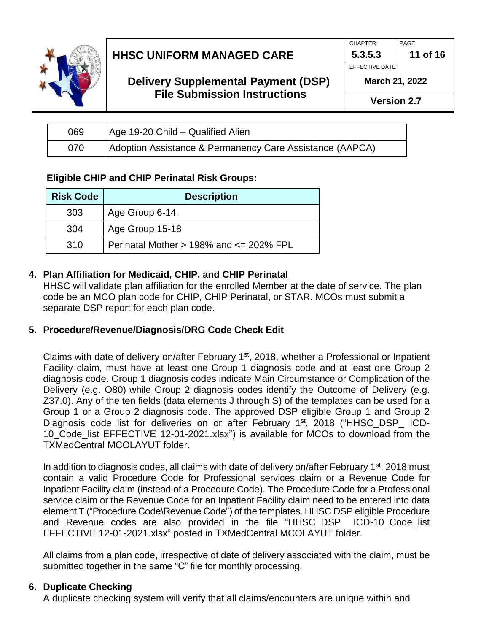

## **Delivery Supplemental Payment (DSP) File Submission Instructions**

PAGE

**11 of 16**

CHAPTER **5.3.5.3**

EFFECTIVE DATE

**Version 2.7**

| 069 | Age 19-20 Child – Qualified Alien                        |
|-----|----------------------------------------------------------|
| 070 | Adoption Assistance & Permanency Care Assistance (AAPCA) |

### **Eligible CHIP and CHIP Perinatal Risk Groups:**

| <b>Risk Code</b> | <b>Description</b>                              |
|------------------|-------------------------------------------------|
| 303              | Age Group 6-14                                  |
| 304              | Age Group 15-18                                 |
| 310              | Perinatal Mother $> 198\%$ and $\leq 202\%$ FPL |

### **4. Plan Affiliation for Medicaid, CHIP, and CHIP Perinatal**

HHSC will validate plan affiliation for the enrolled Member at the date of service. The plan code be an MCO plan code for CHIP, CHIP Perinatal, or STAR. MCOs must submit a separate DSP report for each plan code.

### **5. Procedure/Revenue/Diagnosis/DRG Code Check Edit**

Claims with date of delivery on/after February 1<sup>st</sup>, 2018, whether a Professional or Inpatient Facility claim, must have at least one Group 1 diagnosis code and at least one Group 2 diagnosis code. Group 1 diagnosis codes indicate Main Circumstance or Complication of the Delivery (e.g. O80) while Group 2 diagnosis codes identify the Outcome of Delivery (e.g. Z37.0). Any of the ten fields (data elements J through S) of the templates can be used for a Group 1 or a Group 2 diagnosis code. The approved DSP eligible Group 1 and Group 2 Diagnosis code list for deliveries on or after February 1<sup>st</sup>, 2018 ("HHSC DSP ICD-10\_Code\_list EFFECTIVE 12-01-2021.xlsx") is available for MCOs to download from the TXMedCentral MCOLAYUT folder.

In addition to diagnosis codes, all claims with date of delivery on/after February  $1<sup>st</sup>$ , 2018 must contain a valid Procedure Code for Professional services claim or a Revenue Code for Inpatient Facility claim (instead of a Procedure Code). The Procedure Code for a Professional service claim or the Revenue Code for an Inpatient Facility claim need to be entered into data element T ("Procedure Code\Revenue Code") of the templates. HHSC DSP eligible Procedure and Revenue codes are also provided in the file "HHSC\_DSP\_ ICD-10\_Code\_list EFFECTIVE 12-01-2021.xlsx" posted in TXMedCentral MCOLAYUT folder.

All claims from a plan code, irrespective of date of delivery associated with the claim, must be submitted together in the same "C" file for monthly processing.

### **6. Duplicate Checking**

A duplicate checking system will verify that all claims/encounters are unique within and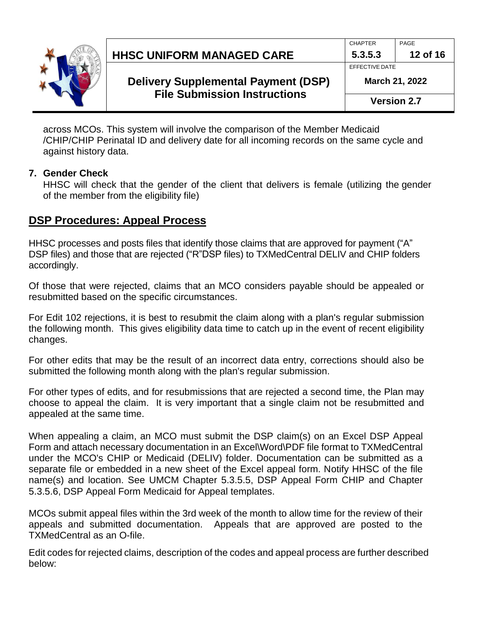

|                                  | CHAPTER        |
|----------------------------------|----------------|
| <b>HHSC UNIFORM MANAGED CARE</b> | 5.3.5.3        |
|                                  | EFFECTIVE DATE |

**March 21, 2022**

PAGE

**12 of 16**

**Version 2.7**

across MCOs. This system will involve the comparison of the Member Medicaid /CHIP/CHIP Perinatal ID and delivery date for all incoming records on the same cycle and against history data.

### **7. Gender Check**

HHSC will check that the gender of the client that delivers is female (utilizing the gender of the member from the eligibility file)

### **DSP Procedures: Appeal Process**

HHSC processes and posts files that identify those claims that are approved for payment ("A" DSP files) and those that are rejected ("R"DSP files) to TXMedCentral DELIV and CHIP folders accordingly.

Of those that were rejected, claims that an MCO considers payable should be appealed or resubmitted based on the specific circumstances.

For Edit 102 rejections, it is best to resubmit the claim along with a plan's regular submission the following month. This gives eligibility data time to catch up in the event of recent eligibility changes.

For other edits that may be the result of an incorrect data entry, corrections should also be submitted the following month along with the plan's regular submission.

For other types of edits, and for resubmissions that are rejected a second time, the Plan may choose to appeal the claim. It is very important that a single claim not be resubmitted and appealed at the same time.

When appealing a claim, an MCO must submit the DSP claim(s) on an Excel DSP Appeal Form and attach necessary documentation in an Excel\Word\PDF file format to TXMedCentral under the MCO's CHIP or Medicaid (DELIV) folder. Documentation can be submitted as a separate file or embedded in a new sheet of the Excel appeal form. Notify HHSC of the file name(s) and location. See UMCM Chapter 5.3.5.5, DSP Appeal Form CHIP and Chapter 5.3.5.6, DSP Appeal Form Medicaid for Appeal templates.

MCOs submit appeal files within the 3rd week of the month to allow time for the review of their appeals and submitted documentation. Appeals that are approved are posted to the TXMedCentral as an O-file.

Edit codes for rejected claims, description of the codes and appeal process are further described below: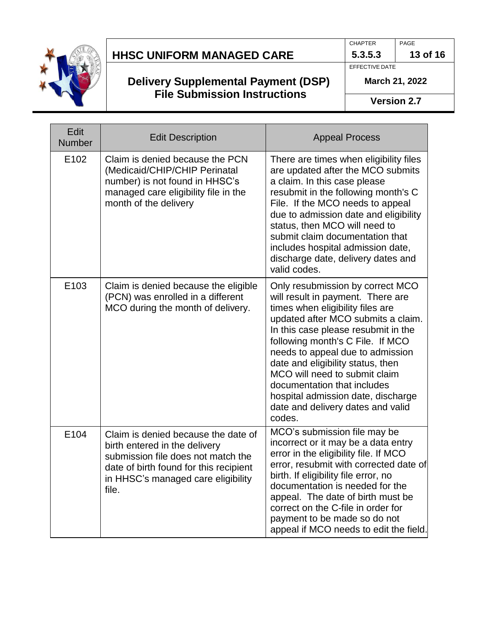

## **Delivery Supplemental Payment (DSP) File Submission Instructions**

PAGE

**5.3.5.3 13 of 16**

EFFECTIVE DATE

CHAPTER

**March 21, 2022**

**Version 2.7**

| Edit<br><b>Number</b> | <b>Edit Description</b>                                                                                                                                                                             | <b>Appeal Process</b>                                                                                                                                                                                                                                                                                                                                                                                                                                    |
|-----------------------|-----------------------------------------------------------------------------------------------------------------------------------------------------------------------------------------------------|----------------------------------------------------------------------------------------------------------------------------------------------------------------------------------------------------------------------------------------------------------------------------------------------------------------------------------------------------------------------------------------------------------------------------------------------------------|
| E102                  | Claim is denied because the PCN<br>(Medicaid/CHIP/CHIP Perinatal<br>number) is not found in HHSC's<br>managed care eligibility file in the<br>month of the delivery                                 | There are times when eligibility files<br>are updated after the MCO submits<br>a claim. In this case please<br>resubmit in the following month's C<br>File. If the MCO needs to appeal<br>due to admission date and eligibility<br>status, then MCO will need to<br>submit claim documentation that<br>includes hospital admission date,<br>discharge date, delivery dates and<br>valid codes.                                                           |
| E103                  | Claim is denied because the eligible<br>(PCN) was enrolled in a different<br>MCO during the month of delivery.                                                                                      | Only resubmission by correct MCO<br>will result in payment. There are<br>times when eligibility files are<br>updated after MCO submits a claim.<br>In this case please resubmit in the<br>following month's C File. If MCO<br>needs to appeal due to admission<br>date and eligibility status, then<br>MCO will need to submit claim<br>documentation that includes<br>hospital admission date, discharge<br>date and delivery dates and valid<br>codes. |
| E104                  | Claim is denied because the date of<br>birth entered in the delivery<br>submission file does not match the<br>date of birth found for this recipient<br>in HHSC's managed care eligibility<br>file. | MCO's submission file may be<br>incorrect or it may be a data entry<br>error in the eligibility file. If MCO<br>error, resubmit with corrected date of<br>birth. If eligibility file error, no<br>documentation is needed for the<br>appeal. The date of birth must be<br>correct on the C-file in order for<br>payment to be made so do not<br>appeal if MCO needs to edit the field.                                                                   |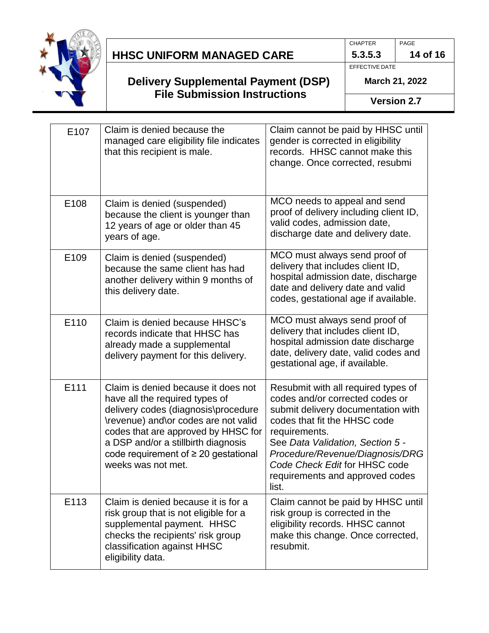

## **Delivery Supplemental Payment (DSP) File Submission Instructions**

PAGE **14 of 16**

**5.3.5.3** EFFECTIVE DATE

CHAPTER

**March 21, 2022**

**Version 2.7**

| E107 | Claim is denied because the<br>managed care eligibility file indicates<br>that this recipient is male.                                                                                                                                                                                                | Claim cannot be paid by HHSC until<br>gender is corrected in eligibility<br>records. HHSC cannot make this<br>change. Once corrected, resubmi                                                                                                                                                                     |
|------|-------------------------------------------------------------------------------------------------------------------------------------------------------------------------------------------------------------------------------------------------------------------------------------------------------|-------------------------------------------------------------------------------------------------------------------------------------------------------------------------------------------------------------------------------------------------------------------------------------------------------------------|
| E108 | Claim is denied (suspended)<br>because the client is younger than<br>12 years of age or older than 45<br>years of age.                                                                                                                                                                                | MCO needs to appeal and send<br>proof of delivery including client ID,<br>valid codes, admission date,<br>discharge date and delivery date.                                                                                                                                                                       |
| E109 | Claim is denied (suspended)<br>because the same client has had<br>another delivery within 9 months of<br>this delivery date.                                                                                                                                                                          | MCO must always send proof of<br>delivery that includes client ID,<br>hospital admission date, discharge<br>date and delivery date and valid<br>codes, gestational age if available.                                                                                                                              |
| E110 | Claim is denied because HHSC's<br>records indicate that HHSC has<br>already made a supplemental<br>delivery payment for this delivery.                                                                                                                                                                | MCO must always send proof of<br>delivery that includes client ID,<br>hospital admission date discharge<br>date, delivery date, valid codes and<br>gestational age, if available.                                                                                                                                 |
| E111 | Claim is denied because it does not<br>have all the required types of<br>delivery codes (diagnosis\procedure<br>\revenue) and\or codes are not valid<br>codes that are approved by HHSC for<br>a DSP and/or a stillbirth diagnosis<br>code requirement of $\geq 20$ gestational<br>weeks was not met. | Resubmit with all required types of<br>codes and/or corrected codes or<br>submit delivery documentation with<br>codes that fit the HHSC code<br>requirements.<br>See Data Validation, Section 5 -<br>Procedure/Revenue/Diagnosis/DRG<br>Code Check Edit for HHSC code<br>requirements and approved codes<br>list. |
| E113 | Claim is denied because it is for a<br>risk group that is not eligible for a<br>supplemental payment. HHSC<br>checks the recipients' risk group<br>classification against HHSC<br>eligibility data.                                                                                                   | Claim cannot be paid by HHSC until<br>risk group is corrected in the<br>eligibility records. HHSC cannot<br>make this change. Once corrected,<br>resubmit.                                                                                                                                                        |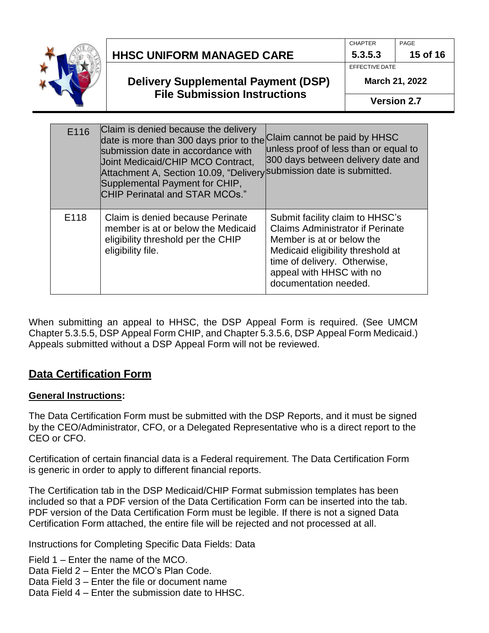

| <b>HHSC UNIFORM MANAGED CARE</b> |  |
|----------------------------------|--|
|----------------------------------|--|

**5.3.5.3 15 of 16** EFFECTIVE DATE

**March 21, 2022**

**Version 2.7**

| E116 | Claim is denied because the delivery<br>date is more than 300 days prior to the Claim cannot be paid by HHSC<br>submission date in accordance with<br><b>Joint Medicaid/CHIP MCO Contract,</b><br>Attachment A, Section 10.09, "Delivery submission date is submitted.<br>Supplemental Payment for CHIP,<br><b>CHIP Perinatal and STAR MCOs."</b> | unless proof of less than or equal to<br>300 days between delivery date and                                                                                                                                                       |
|------|---------------------------------------------------------------------------------------------------------------------------------------------------------------------------------------------------------------------------------------------------------------------------------------------------------------------------------------------------|-----------------------------------------------------------------------------------------------------------------------------------------------------------------------------------------------------------------------------------|
| E118 | Claim is denied because Perinate<br>member is at or below the Medicaid<br>eligibility threshold per the CHIP<br>eligibility file.                                                                                                                                                                                                                 | Submit facility claim to HHSC's<br><b>Claims Administrator if Perinate</b><br>Member is at or below the<br>Medicaid eligibility threshold at<br>time of delivery. Otherwise,<br>appeal with HHSC with no<br>documentation needed. |

When submitting an appeal to HHSC, the DSP Appeal Form is required. (See UMCM Chapter 5.3.5.5, DSP Appeal Form CHIP, and Chapter 5.3.5.6, DSP Appeal Form Medicaid.) Appeals submitted without a DSP Appeal Form will not be reviewed.

# **Data Certification Form**

### **General Instructions:**

The Data Certification Form must be submitted with the DSP Reports, and it must be signed by the CEO/Administrator, CFO, or a Delegated Representative who is a direct report to the CEO or CFO.

Certification of certain financial data is a Federal requirement. The Data Certification Form is generic in order to apply to different financial reports.

The Certification tab in the DSP Medicaid/CHIP Format submission templates has been included so that a PDF version of the Data Certification Form can be inserted into the tab. PDF version of the Data Certification Form must be legible. If there is not a signed Data Certification Form attached, the entire file will be rejected and not processed at all.

Instructions for Completing Specific Data Fields: Data

Field 1 – Enter the name of the MCO.

Data Field 2 – Enter the MCO's Plan Code.

- Data Field 3 Enter the file or document name
- Data Field 4 Enter the submission date to HHSC.